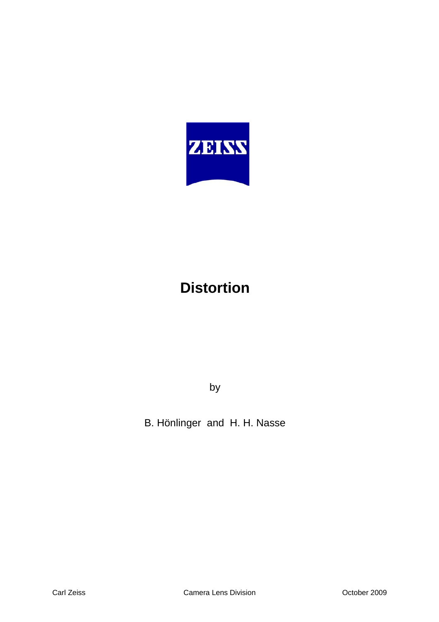

# **Distortion**

by

B. Hönlinger and H. H. Nasse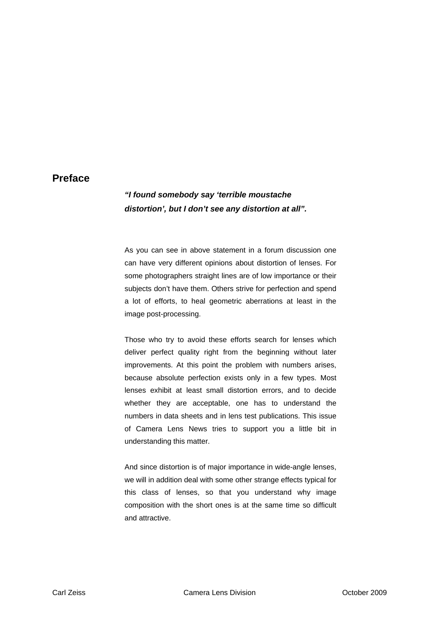#### **Preface**

### *"I found somebody say 'terrible moustache distortion', but I don't see any distortion at all".*

As you can see in above statement in a forum discussion one can have very different opinions about distortion of lenses. For some photographers straight lines are of low importance or their subjects don't have them. Others strive for perfection and spend a lot of efforts, to heal geometric aberrations at least in the image post-processing.

Those who try to avoid these efforts search for lenses which deliver perfect quality right from the beginning without later improvements. At this point the problem with numbers arises, because absolute perfection exists only in a few types. Most lenses exhibit at least small distortion errors, and to decide whether they are acceptable, one has to understand the numbers in data sheets and in lens test publications. This issue of Camera Lens News tries to support you a little bit in understanding this matter.

And since distortion is of major importance in wide-angle lenses, we will in addition deal with some other strange effects typical for this class of lenses, so that you understand why image composition with the short ones is at the same time so difficult and attractive.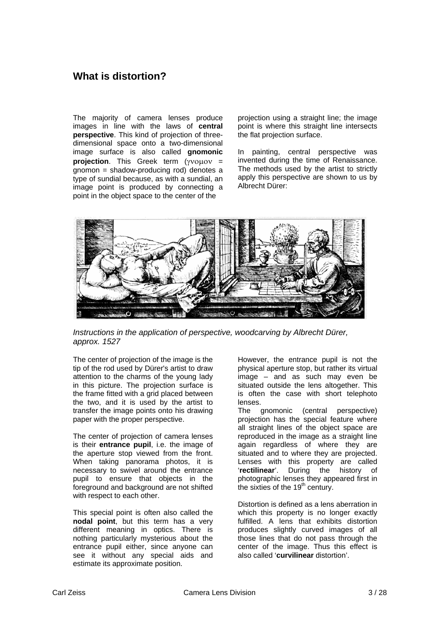## **What is distortion?**

The majority of camera lenses produce images in line with the laws of **central perspective**. This kind of projection of threedimensional space onto a two-dimensional image surface is also called **gnomonic projection**. This Greek term (γνομον = gnomon = shadow-producing rod) denotes a type of sundial because, as with a sundial, an image point is produced by connecting a point in the object space to the center of the

projection using a straight line; the image point is where this straight line intersects the flat projection surface.

In painting, central perspective was invented during the time of Renaissance. The methods used by the artist to strictly apply this perspective are shown to us by Albrecht Dürer:



*Instructions in the application of perspective, woodcarving by Albrecht Dürer, approx. 1527* 

The center of projection of the image is the tip of the rod used by Dürer's artist to draw attention to the charms of the young lady in this picture. The projection surface is the frame fitted with a grid placed between the two, and it is used by the artist to transfer the image points onto his drawing paper with the proper perspective.

The center of projection of camera lenses is their **entrance pupil**, i.e. the image of the aperture stop viewed from the front. When taking panorama photos, it is necessary to swivel around the entrance pupil to ensure that objects in the foreground and background are not shifted with respect to each other.

This special point is often also called the **nodal point**, but this term has a very different meaning in optics. There is nothing particularly mysterious about the entrance pupil either, since anyone can see it without any special aids and estimate its approximate position.

However, the entrance pupil is not the physical aperture stop, but rather its virtual image – and as such may even be situated outside the lens altogether. This is often the case with short telephoto lenses.

The gnomonic (central perspective) projection has the special feature where all straight lines of the object space are reproduced in the image as a straight line again regardless of where they are situated and to where they are projected. Lenses with this property are called '**rectilinear**'. During the history of photographic lenses they appeared first in the sixties of the  $19<sup>th</sup>$  century.

Distortion is defined as a lens aberration in which this property is no longer exactly fulfilled. A lens that exhibits distortion produces slightly curved images of all those lines that do not pass through the center of the image. Thus this effect is also called '**curvilinear** distortion'.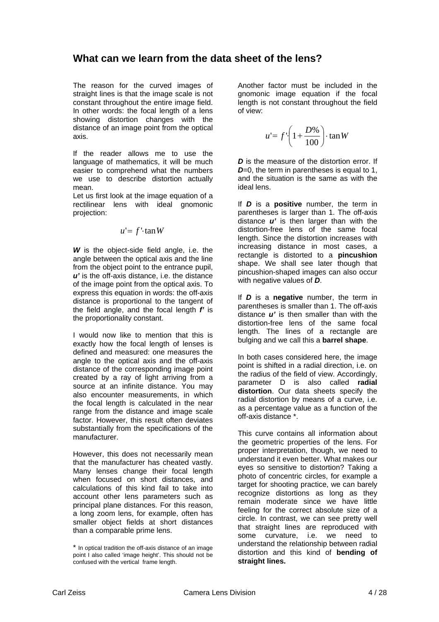## **What can we learn from the data sheet of the lens?**

The reason for the curved images of straight lines is that the image scale is not constant throughout the entire image field. In other words: the focal length of a lens showing distortion changes with the distance of an image point from the optical axis.

If the reader allows me to use the language of mathematics, it will be much easier to comprehend what the numbers we use to describe distortion actually mean.

Let us first look at the image equation of a rectilinear lens with ideal gnomonic projection:

$$
u' = f' \cdot \tan W
$$

*W* is the object-side field angle, i.e. the angle between the optical axis and the line from the object point to the entrance pupil, *u'* is the off-axis distance, i.e. the distance of the image point from the optical axis. To express this equation in words: the off-axis distance is proportional to the tangent of the field angle, and the focal length *f'* is the proportionality constant.

I would now like to mention that this is exactly how the focal length of lenses is defined and measured: one measures the angle to the optical axis and the off-axis distance of the corresponding image point created by a ray of light arriving from a source at an infinite distance. You may also encounter measurements, in which the focal length is calculated in the near range from the distance and image scale factor. However, this result often deviates substantially from the specifications of the manufacturer.

However, this does not necessarily mean that the manufacturer has cheated vastly. Many lenses change their focal length when focused on short distances, and calculations of this kind fail to take into account other lens parameters such as principal plane distances. For this reason, a long zoom lens, for example, often has smaller object fields at short distances than a comparable prime lens.

Another factor must be included in the gnomonic image equation if the focal length is not constant throughout the field of view:

$$
u' = f' \left( 1 + \frac{D\%}{100} \right) \cdot \tan W
$$

*D* is the measure of the distortion error. If *D*=0, the term in parentheses is equal to 1, and the situation is the same as with the ideal lens.

If *D* is a **positive** number, the term in parentheses is larger than 1. The off-axis distance *u'* is then larger than with the distortion-free lens of the same focal length. Since the distortion increases with increasing distance in most cases, a rectangle is distorted to a **pincushion**  shape. We shall see later though that pincushion-shaped images can also occur with negative values of *D*.

If *D* is a **negative** number, the term in parentheses is smaller than 1. The off-axis distance *u'* is then smaller than with the distortion-free lens of the same focal length. The lines of a rectangle are bulging and we call this a **barrel shape**.

In both cases considered here, the image point is shifted in a radial direction, i.e. on the radius of the field of view. Accordingly, parameter D is also called **radial distortion**. Our data sheets specify the radial distortion by means of a curve, i.e. as a percentage value as a function of the off-axis distance \*.

This curve contains all information about the geometric properties of the lens. For proper interpretation, though, we need to understand it even better. What makes our eyes so sensitive to distortion? Taking a photo of concentric circles, for example a target for shooting practice, we can barely recognize distortions as long as they remain moderate since we have little feeling for the correct absolute size of a circle. In contrast, we can see pretty well that straight lines are reproduced with some curvature, i.e. we need to understand the relationship between radial distortion and this kind of **bending of straight lines.** 

In optical tradition the off-axis distance of an image point I also called 'image height'. This should not be confused with the vertical frame length.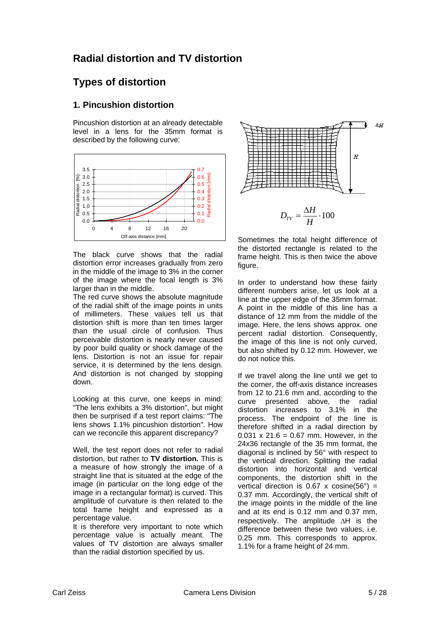## **Radial distortion and TV distortion**

# **Types of distortion**

#### **1. Pincushion distortion**

Pincushion distortion at an already detectable level in a lens for the 35mm format is described by the following curve:



The black curve shows that the radial distortion error increases gradually from zero in the middle of the image to 3% in the corner of the image where the focal length is 3% larger than in the middle.

The red curve shows the absolute magnitude of the radial shift of the image points in units of millimeters. These values tell us that distortion shift is more than ten times larger than the usual circle of confusion. Thus perceivable distortion is nearly never caused by poor build quality or shock damage of the lens. Distortion is not an issue for repair service, it is determined by the lens design. And distortion is not changed by stopping down.

Looking at this curve, one keeps in mind: "The lens exhibits a 3% distortion", but might then be surprised if a test report claims: "The lens shows 1.1% pincushion distortion". How can we reconcile this apparent discrepancy?

Well, the test report does not refer to radial distortion, but rather to **TV distortion.** This is a measure of how strongly the image of a straight line that is situated at the edge of the image (in particular on the long edge of the image in a rectangular format) is curved. This amplitude of curvature is then related to the total frame height and expressed as a percentage value.

It is therefore very important to note which percentage value is actually meant. The values of TV distortion are always smaller than the radial distortion specified by us.



Sometimes the total height difference of the distorted rectangle is related to the frame height. This is then twice the above figure.

In order to understand how these fairly different numbers arise, let us look at a line at the upper edge of the 35mm format. A point in the middle of this line has a distance of 12 mm from the middle of the image. Here, the lens shows approx. one percent radial distortion. Consequently, the image of this line is not only curved, but also shifted by 0.12 mm. However, we do not notice this.

If we travel along the line until we get to the corner, the off-axis distance increases from 12 to 21.6 mm and, according to the curve presented above, the radial distortion increases to 3.1% in the process. The endpoint of the line is therefore shifted in a radial direction by 0.031 x 21.6 = 0.67 mm. However, in the 24x36 rectangle of the 35 mm format, the diagonal is inclined by 56° with respect to the vertical direction. Splitting the radial distortion into horizontal and vertical components, the distortion shift in the vertical direction is  $0.67 \times \text{cosine}(56^\circ) =$ 0.37 mm. Accordingly, the vertical shift of the image points in the middle of the line and at its end is 0.12 mm and 0.37 mm, respectively. The amplitude ΔH is the difference between these two values, i.e. 0.25 mm. This corresponds to approx. 1.1% for a frame height of 24 mm.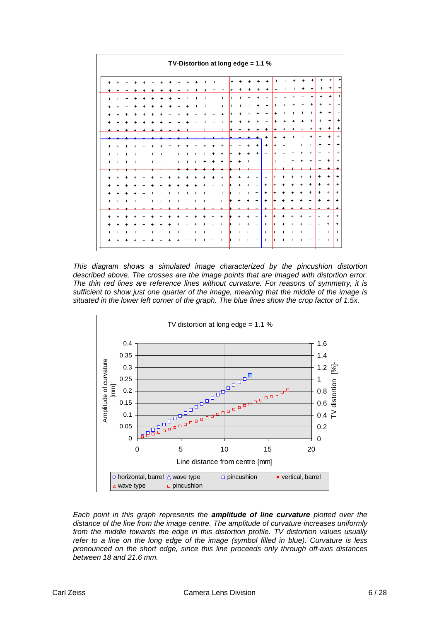|   |           |           |           |           |           | TV-Distortion at long edge = 1.1 % |                                  |           |           |            |           |           |                                  |                                  |           |                                  |           |           |           |           |           |                  |                |
|---|-----------|-----------|-----------|-----------|-----------|------------------------------------|----------------------------------|-----------|-----------|------------|-----------|-----------|----------------------------------|----------------------------------|-----------|----------------------------------|-----------|-----------|-----------|-----------|-----------|------------------|----------------|
|   |           |           |           |           |           |                                    |                                  |           |           |            | $+$       |           |                                  |                                  | $\ddot{}$ | +                                |           |           | $\ddot{}$ | $\ddot{}$ | $\ddot{}$ | $\ddot{}$        | $\ddot{}$      |
|   |           |           |           |           |           |                                    | +                                | $\ddot{}$ |           | +          | +         | $\ddot{}$ | +                                | $\ddot{}$                        | +         | $\ddot{}$                        | $\ddot{}$ | $\ddot{}$ | $\ddot{}$ | $^{+}$    | $\ddot{}$ | $\ddot{}$        | $\ddot{}$      |
|   |           | $\ddot{}$ |           |           |           |                                    |                                  | $\ddot{}$ | ÷.        | $\ddot{+}$ | $\ddot{}$ | $\ddot{}$ | $\ddot{}$                        | $\ddot{}$                        | $\ddot{}$ | $+$                              | $\ddot{}$ | $\ddot{}$ | $\ddot{}$ | $+$       | $\ddot{}$ | $\ddot{}$        | $\ddot{}$      |
|   |           | $\ddot{}$ | $\ddot{}$ | $\ddot{}$ | $\ddot{}$ | $\ddot{}$                          | +                                | $^{+}$    |           | $\ddot{}$  | $\ddot{}$ |           |                                  | $\ddot{}$                        | $\ddot{}$ | $\begin{array}{c} + \end{array}$ | $\ddot{}$ |           | $\ddot{}$ | $\ddot{}$ | $\ddot{}$ | $\ddot{}$        | $\ddot{}$      |
|   |           | $\ddot{}$ | ÷         |           | $\ddot{}$ | $\ddot{+}$                         | ÷                                | $\ddot{}$ | $\ddot{}$ | $\ddot{}$  | $+$       | $\ddot{}$ |                                  | $\ddot{}$                        | $\ddot{}$ | $+$                              | $\ddot{}$ | $\ddot{}$ | $\ddot{}$ | $\ddot{}$ | $\ddot{}$ | $+$              | $\ddot{}$      |
|   |           |           |           |           |           |                                    |                                  |           |           |            |           |           |                                  |                                  | $\ddot{}$ | $\ddot{}$                        | $\ddot{}$ |           | $+$       | $+$       | $\ddot{}$ | $\ddot{}$        | $\ddot{}$      |
|   |           |           |           |           |           |                                    |                                  |           |           |            |           |           |                                  |                                  | +         | $\ddot{}$                        |           | $\ddot{}$ | $\ddot{}$ | $\ddot{}$ | $\ddot{}$ | $\boldsymbol{+}$ | +              |
|   |           |           |           |           |           |                                    |                                  |           |           |            |           |           |                                  |                                  | $\ddot{}$ | $\ddot{}$                        | $\ddot{}$ | $\ddot{}$ | $\ddot{}$ | $\ddot{}$ | $\ddot{}$ | $\ddot{}$        | $\ddot{}$      |
|   |           |           |           |           |           |                                    |                                  |           |           |            |           |           |                                  | $+$                              | $+$       | $+$                              | $\ddot{}$ | $\ddot{}$ | $\ddot{}$ | $+$       | $\ddot{}$ | $\ddot{}$        | $\ddot{}$      |
|   |           | $+$       | $\ddot{}$ | $\ddot{}$ | $\ddot{}$ | $\ddot{}$                          | $\ddot{}$                        | $\ddot{}$ | $\ddot{}$ | $\ddot{}$  | l+        | $\ddot{}$ | $\ddot{}$                        | $+$                              | $\ddot{}$ | $\ddot{}$                        | $\ddot{}$ | $\ddot{}$ |           | $\ddot{}$ | $\ddot{}$ | $+$              | $\ddot{}$      |
|   |           | $\ddot{}$ |           |           |           | $\ddot{}$                          |                                  |           |           | $\ddot{}$  |           |           | $+$                              | $\color{red}{+}$                 | $+$       | $\ddot{}$                        |           |           |           | $+$       | $\ddot{}$ | $\ddot{}$        | $\ddot{}$      |
|   |           |           |           |           |           |                                    |                                  |           |           |            |           |           |                                  | $\div$                           |           |                                  |           |           |           |           |           | $\ddot{}$        |                |
|   |           |           |           |           |           |                                    |                                  |           |           |            |           |           | $\ddot{}$                        | $+$                              | $\ddot{}$ |                                  |           |           |           | $\ddot{}$ | $+$       | $\ddot{}$        | $+$            |
| + |           | $\ddot{}$ | $\ddot{}$ |           | $\ddot{}$ | $\ddot{}$                          | $\ddot{}$                        | $\ddot{}$ | $\ddot{}$ | $\ddot{}$  |           | $\ddot{}$ | $\ddot{}$                        | $+$                              | $\ddot{}$ | $\ddot{}$                        | $\ddot{}$ |           |           | $\ddot{}$ | $+$       | $+$              | $\ddot{}$      |
|   |           | $+$       | $\ddot{}$ | $\ddot{}$ |           | $\ddot{}$                          | $\ddot{}$                        |           | $\ddot{}$ | $\ddot{}$  |           | $\ddot{}$ | $+$                              | $+$                              | $+$       | $+$                              | $\ddot{}$ | $\ddot{}$ | $\ddot{}$ | $+$       | $\ddot{}$ | $+$              | $+$            |
|   |           |           |           |           |           |                                    |                                  |           |           |            |           |           |                                  | $+$                              | $+$       | $\ddot{}$                        |           |           |           | $\ddot{}$ | $\ddot{}$ | $+$              | $\ddot{}$      |
|   |           |           |           |           |           |                                    |                                  |           |           |            |           |           |                                  |                                  |           |                                  |           |           |           |           |           |                  | $\overline{+}$ |
|   |           | $\ddot{}$ |           |           |           |                                    |                                  |           |           |            |           |           |                                  | $\begin{array}{c} + \end{array}$ | $+$       |                                  |           |           |           | $\ddot{}$ | $\ddot{}$ | $+$              | $\ddot{}$      |
|   |           | $+$       | $+$       | $\ddot{}$ |           | $\begin{array}{c} + \end{array}$   | $\begin{array}{c} + \end{array}$ | $\ddot{}$ | $\ddot{}$ | $\ddot{}$  | ⊭         | $\ddot{}$ | $+$                              | $+$                              | $+$       | l+                               | $\ddot{}$ | $+$       | $\ddot{}$ | $+$       | $+$       | $+$              | $\ddot{}$      |
|   | $\ddot{}$ | $+$       | $\ddot{}$ | $\ddot{}$ | $\ddot{}$ | $+$                                | $\ddot{}$                        | $\ddot{}$ | $\ddot{}$ | $\ddot{}$  |           | $\ddot{}$ | $\begin{array}{c} + \end{array}$ | $\begin{array}{c} + \end{array}$ | $\ddot{}$ | $\left  + \right $               | $\ddot{}$ | $^{+}$    | $\ddot{}$ | $\ddot{}$ | $+$       | $\ddot{}$        | $\overline{+}$ |
|   |           | +         |           |           |           |                                    |                                  |           |           |            |           |           |                                  | $+$                              | $+$       |                                  |           |           |           | $\ddot{}$ | ÷         | $+$              | $\ddot{}$      |
|   |           |           |           |           |           |                                    |                                  |           |           |            |           |           |                                  |                                  |           |                                  |           |           |           |           |           |                  |                |

*This diagram shows a simulated image characterized by the pincushion distortion described above. The crosses are the image points that are imaged with distortion error. The thin red lines are reference lines without curvature. For reasons of symmetry, it is sufficient to show just one quarter of the image, meaning that the middle of the image is situated in the lower left corner of the graph. The blue lines show the crop factor of 1.5x.* 



*Each point in this graph represents the amplitude of line curvature plotted over the distance of the line from the image centre. The amplitude of curvature increases uniformly from the middle towards the edge in this distortion profile. TV distortion values usually refer to a line on the long edge of the image (symbol filled in blue). Curvature is less pronounced on the short edge, since this line proceeds only through off-axis distances between 18 and 21.6 mm.*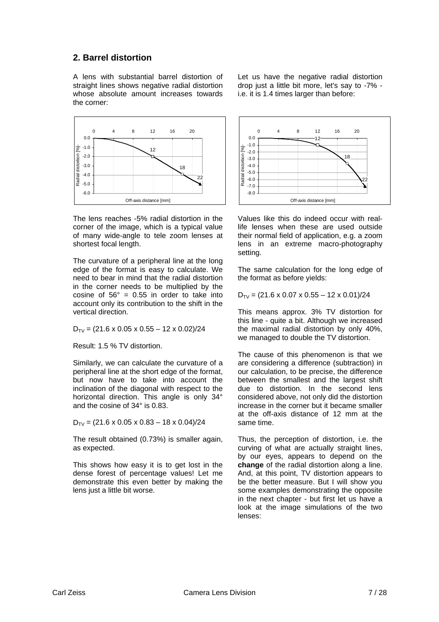#### **2. Barrel distortion**

A lens with substantial barrel distortion of straight lines shows negative radial distortion whose absolute amount increases towards the corner:



The lens reaches -5% radial distortion in the corner of the image, which is a typical value of many wide-angle to tele zoom lenses at shortest focal length.

The curvature of a peripheral line at the long edge of the format is easy to calculate. We need to bear in mind that the radial distortion in the corner needs to be multiplied by the cosine of  $56^\circ$  = 0.55 in order to take into account only its contribution to the shift in the vertical direction.

 $D_{TV} = (21.6 \times 0.05 \times 0.55 - 12 \times 0.02)/24$ 

Result: 1.5 % TV distortion.

Similarly, we can calculate the curvature of a peripheral line at the short edge of the format, but now have to take into account the inclination of the diagonal with respect to the horizontal direction. This angle is only 34° and the cosine of 34° is 0.83.

 $D_{TV}$  = (21.6 x 0.05 x 0.83 – 18 x 0.04)/24

The result obtained (0.73%) is smaller again, as expected.

This shows how easy it is to get lost in the dense forest of percentage values! Let me demonstrate this even better by making the lens just a little bit worse.

Let us have the negative radial distortion drop just a little bit more, let's say to -7% i.e. it is 1.4 times larger than before:



Values like this do indeed occur with reallife lenses when these are used outside their normal field of application, e.g. a zoom lens in an extreme macro-photography setting.

The same calculation for the long edge of the format as before yields:

 $D_{TV}$  = (21.6 x 0.07 x 0.55 – 12 x 0.01)/24

This means approx. 3% TV distortion for this line - quite a bit. Although we increased the maximal radial distortion by only 40%, we managed to double the TV distortion.

The cause of this phenomenon is that we are considering a difference (subtraction) in our calculation, to be precise, the difference between the smallest and the largest shift due to distortion. In the second lens considered above, not only did the distortion increase in the corner but it became smaller at the off-axis distance of 12 mm at the same time.

Thus, the perception of distortion, i.e. the curving of what are actually straight lines, by our eyes, appears to depend on the **change** of the radial distortion along a line. And, at this point, TV distortion appears to be the better measure. But I will show you some examples demonstrating the opposite in the next chapter - but first let us have a look at the image simulations of the two lenses: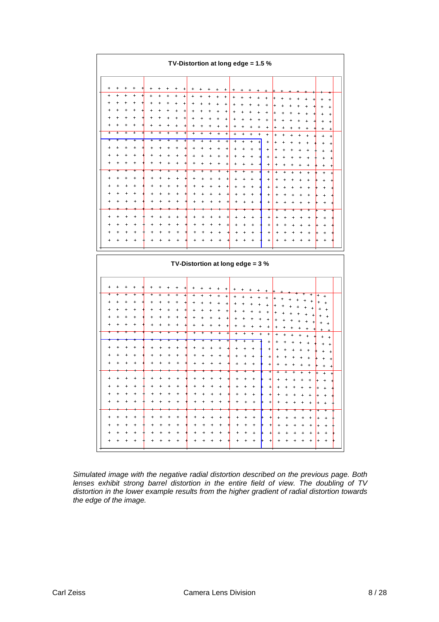

*Simulated image with the negative radial distortion described on the previous page. Both lenses exhibit strong barrel distortion in the entire field of view. The doubling of TV distortion in the lower example results from the higher gradient of radial distortion towards the edge of the image.*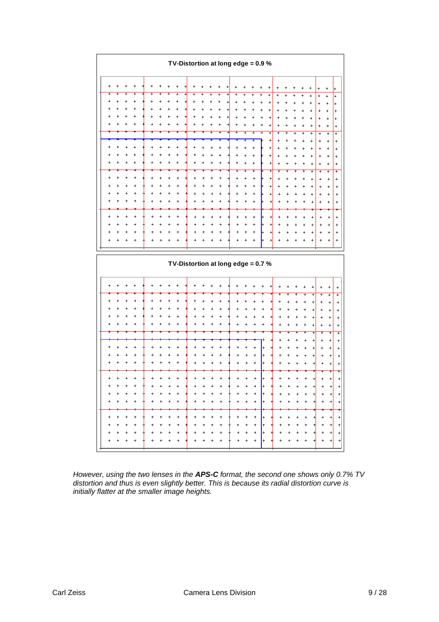|           |           |                             |   |           |   |           |                |   |                                  |        |           |                |           | TV-Distortion at long edge = $0.9\%$ |                |                                  |                |                                       |                                  |                                  |           |                |                             |                                  |                                  |                             |
|-----------|-----------|-----------------------------|---|-----------|---|-----------|----------------|---|----------------------------------|--------|-----------|----------------|-----------|--------------------------------------|----------------|----------------------------------|----------------|---------------------------------------|----------------------------------|----------------------------------|-----------|----------------|-----------------------------|----------------------------------|----------------------------------|-----------------------------|
| $\ddot{}$ | $\ddot{}$ | $\ddot{}$                   | + | $\ddot{}$ |   |           |                |   |                                  |        |           |                |           |                                      |                |                                  |                | +                                     |                                  |                                  |           |                | $\ddot{}$                   | $\ddot{}$                        | $\ddot{}$                        | ÷                           |
| +         | +         | $\overline{+}$<br>$\ddot{}$ |   | ÷         |   |           | +<br>$\ddot{}$ | 4 | ÷                                | +      |           | +<br>$\ddot{}$ | $\ddot{}$ |                                      |                |                                  |                | $\ddot{}$                             | $\ddot{}$                        |                                  |           |                | $\ddot{}$                   | $\ddot{}$                        | $\ddot{}$                        | $\ddot{}$                   |
|           |           |                             |   |           |   |           |                |   | $\ddot{}$<br>$\ddot{}$           | +<br>÷ |           | $\ddot{}$      | $\ddot{}$ |                                      |                |                                  |                | $\ddot{}$                             | $\ddot{}$                        | ÷                                |           |                | $\ddot{}$<br>$\ddot{}$      | $\ddot{}$                        |                                  | $\ddot{}$                   |
|           |           |                             |   |           |   |           |                |   |                                  |        |           | +              |           |                                      |                |                                  |                | $\ddot{}$                             | ÷                                |                                  |           |                | $\ddot{}$                   | +<br>$\ddot{}$                   | $\ddot{}$                        | $\ddot{}$<br>$\,^+$         |
|           |           |                             |   |           |   |           |                |   |                                  |        |           |                |           |                                      |                |                                  | $\ddot{}$      | $\ddot{}$                             | $\overline{1}$                   |                                  |           |                | $^{+}$                      | $\ddot{}$                        | $\ddot{}$                        | $^{+}$                      |
|           |           |                             |   |           |   |           |                |   |                                  |        |           |                |           |                                      |                | $\overline{+}$                   | $\overline{+}$ | $+$                                   | +                                |                                  |           |                | $\ddot{}$                   | $\ddot{}$                        | $\ddot{}$                        | $\ddot{}$                   |
|           |           |                             |   |           |   |           |                |   |                                  |        |           |                |           |                                      |                |                                  |                | $\ddot{}$                             | $\ddot{}$                        |                                  |           |                |                             |                                  |                                  | $\ddot{}$                   |
| 4         |           |                             |   |           |   |           |                |   | $\overline{1}$                   |        |           |                |           |                                      |                | $\ddot{}$                        |                | +                                     | $\overline{+}$                   |                                  |           |                |                             |                                  |                                  | $\ddot{}$                   |
|           |           |                             |   |           |   |           |                |   |                                  |        |           |                |           |                                      |                | $\ddot{}$                        |                | $\ddot{}$                             | $\ddot{}$                        |                                  |           |                | $\ddot{}$                   | +                                | ÷                                | $\ddot{}$                   |
|           |           |                             |   |           |   |           |                |   |                                  |        |           |                |           | $\ddot{}$                            | $\ddot{}$      | $\ddot{}$                        |                | $\ddot{}$                             | $\ddot{}$                        |                                  |           | $\ddot{}$      | $\ddot{}$                   | $\ddot{}$                        | $\ddot{}$                        | $\ddot{}$                   |
|           |           |                             |   | ÷         |   |           | ÷              |   | ÷                                |        |           | ÷              |           | $\ddot{}$                            | $\ddot{}$      | $\ddot{}$                        |                | $\overline{\phantom{a}}$<br>$\ddot{}$ | Ŧ<br>$\ddot{}$                   |                                  |           | Ŧ<br>$\ddot{}$ | $\overline{+}$<br>$\ddot{}$ | $\overline{+}$<br>$^{+}$         | $\overline{+}$<br>$\ddot{}$      | $\overline{+}$<br>$\ddot{}$ |
|           |           |                             |   |           |   |           |                |   |                                  |        |           | $\ddot{}$      |           | +                                    | $\ddot{}$      | $\ddot{}$                        |                | $\ddot{}$                             | $\ddot{}$                        |                                  |           |                | $\ddot{}$                   | $\ddot{}$                        | $\ddot{}$                        | $\ddot{}$                   |
|           |           |                             |   |           |   |           |                |   |                                  |        |           |                |           | 4                                    | $\overline{1}$ | $\ddot{}$                        |                | $\ddot{}$                             |                                  |                                  |           |                | $\ddot{}$                   | $\overline{ }$                   | $\ddot{}$                        | $\ddot{}$                   |
|           |           |                             |   |           |   |           |                |   |                                  |        |           |                |           | ÷                                    | +              | $\ddot{}$                        |                | $\overline{1}$                        | $\ddot{}$                        |                                  |           |                | $\ddot{}$                   | $\ddot{}$                        | $\ddot{}$                        | $\ddot{}$                   |
|           |           |                             |   |           |   |           |                |   |                                  |        |           |                |           |                                      |                |                                  |                |                                       |                                  |                                  |           |                |                             |                                  |                                  |                             |
|           |           |                             |   |           |   |           |                |   |                                  |        |           |                |           | $\ddot{}$                            | $^{+}$         | $\ddot{}$                        |                | $^{+}$                                | $\ddot{}$                        |                                  |           |                | $\ddot{}$                   | $\ddot{}$                        | $\ddot{}$                        | $^{+}$                      |
|           |           |                             |   |           |   |           |                |   |                                  |        |           |                |           | $\ddot{}$                            | $\ddot{}$      | $\ddot{}$                        |                | $\ddot{}$                             | $\overline{1}$                   |                                  |           |                | $\ddot{}$                   | ÷                                | $\ddot{}$                        | $\ddot{}$                   |
|           | $\ddot{}$ |                             |   |           |   |           |                |   |                                  |        |           | $\ddot{}$      |           | $\ddot{}$                            | $\ddot{}$      | $\ddot{}$                        |                | $^{+}$                                | $\ddot{}$                        |                                  |           | $\ddot{}$      | $\ddot{}$                   | $\,^+$                           | $\qquad \qquad +$                | $\ddot{\phantom{1}}$        |
|           |           |                             |   |           |   |           |                |   |                                  |        |           |                |           |                                      |                | +                                |                |                                       |                                  |                                  |           |                | $\ddot{}$                   | $\ddot{}$                        | $\begin{array}{c} + \end{array}$ | $^{+}$                      |
|           |           |                             |   |           |   |           |                |   |                                  |        |           |                |           |                                      |                |                                  |                |                                       |                                  |                                  |           |                |                             |                                  |                                  |                             |
|           |           |                             |   |           |   |           |                |   |                                  |        |           |                |           | TV-Distortion at long edge = $0.7$ % |                |                                  |                |                                       |                                  |                                  |           |                |                             |                                  |                                  |                             |
| +         |           |                             |   |           |   |           |                |   |                                  |        |           |                |           |                                      |                |                                  |                |                                       |                                  |                                  |           |                | +                           |                                  | $\ddot{}$                        | $\ddot{}$                   |
|           |           |                             |   |           |   |           |                |   |                                  |        |           |                |           |                                      |                |                                  |                |                                       |                                  |                                  |           | 4              | $\overline{+}$              | 4                                | $\ddot{}$                        | $+$                         |
|           |           |                             |   |           |   |           |                |   |                                  |        |           |                |           | $\overline{1}$                       |                |                                  |                |                                       |                                  |                                  |           | $\ddot{}$      | $\ddot{}$                   | $\ddot{}$                        | $\ddot{}$                        | $\ddot{}$                   |
|           |           |                             |   |           |   |           |                |   |                                  |        |           |                |           |                                      |                |                                  |                |                                       |                                  |                                  |           |                | $\ddot{}$                   | +<br>+                           | +                                | $\ddot{}$                   |
|           |           |                             |   |           |   |           |                |   |                                  |        |           |                |           |                                      |                |                                  |                |                                       |                                  |                                  |           |                | $\ddot{}$<br>$\ddot{}$      | $\ddot{}$                        | $\ddot{}$<br>$\ddot{}$           | $\ddot{}$<br>$\ddot{}$      |
|           |           |                             |   |           |   |           |                |   |                                  |        |           |                |           |                                      |                |                                  |                |                                       |                                  |                                  |           |                | 7                           |                                  | $\overline{+}$                   | $\overline{+}$              |
|           |           |                             |   |           |   |           |                |   |                                  |        |           |                |           |                                      |                |                                  |                |                                       | $\ddot{}$                        |                                  |           |                | +                           |                                  | $\ddot{}$                        | $\ddot{}$                   |
|           |           |                             |   |           |   |           |                |   |                                  |        |           |                |           |                                      |                | ÷.                               | $+$            |                                       | $\ddot{}$                        |                                  |           |                | $\ddot{}$                   | $\overline{ }$                   | $\ddot{}$                        | $\ddot{}$                   |
|           |           |                             |   |           |   |           |                |   |                                  |        |           |                |           | ÷                                    |                | $\ddot{}$                        | $+$            | $\overline{+}$                        | $\ddot{}$                        | ٠                                |           |                | +                           | $\ddot{}$                        | $\ddot{}$                        | $\ddot{}$                   |
|           |           |                             |   |           |   |           |                |   |                                  |        |           |                |           |                                      |                | $\ddot{}$                        | $\ddot{}$      |                                       | $\ddot{}$                        |                                  |           | $\overline{1}$ | +                           | $\ddot{}$                        | $\ddot{}$                        | $\ddot{\phantom{1}}$        |
|           |           |                             |   |           |   |           |                |   |                                  |        |           |                |           |                                      |                |                                  |                |                                       |                                  |                                  |           |                |                             |                                  | +                                | +                           |
|           |           |                             |   |           |   |           |                |   |                                  |        |           |                |           |                                      |                |                                  |                |                                       |                                  |                                  |           |                |                             | ÷                                | $\ddot{}$                        | $\ddot{}$                   |
|           |           |                             |   |           |   |           |                |   | $\ddot{}$                        |        |           |                |           | +                                    |                |                                  | $\ddot{}$      |                                       | $\ddot{}$                        |                                  |           |                |                             | +                                | +                                | $\ddot{}$                   |
|           |           |                             |   | $\ddot{}$ |   |           |                |   |                                  |        |           |                |           |                                      |                |                                  | $+$            |                                       | $\ddot{}$                        |                                  |           |                |                             | +                                | $\ddot{}$                        | $\ddot{}$                   |
|           |           |                             |   |           |   |           |                |   | $\ddot{}$                        |        |           |                |           |                                      |                | $\ddot{}$                        | $+$            |                                       | $\ddot{}$                        | $\ddot{}$                        |           | $\ddot{}$      | $\mathbf{H}$                | $\ddot{}$                        | $+$<br>٠                         | $\boldsymbol{+}$<br>÷       |
| $\ddot{}$ | $^{+}$    |                             |   | $\ddot{}$ | ÷ | $\ddot{}$ | $^{+}$         |   | $\begin{array}{c} + \end{array}$ |        | $\ddot{}$ | $\ddot{}$      | $\ddot{}$ | $\ddot{}$                            | $\ddot{}$      | $\begin{array}{c} + \end{array}$ | $+$            | $\overline{+}$                        | $\begin{array}{c} + \end{array}$ | $\begin{array}{c} + \end{array}$ | $\ddot{}$ | $\ddot{}$      | $\overline{+}$              | $\begin{array}{c} + \end{array}$ |                                  |                             |
|           |           |                             |   |           |   |           |                |   | $\ddot{}$                        |        |           |                | ÷         | +                                    |                | $\ddot{}$                        | $+$            |                                       | $\ddot{}$                        | $\ddot{}$                        | $\ddot{}$ | $^{+}$         | +                           | $\ddot{}$                        | $+$<br>$\ddot{}$                 | $\ddot{}$<br>$^{+}$         |
|           |           |                             |   |           |   |           |                |   | $\ddot{}$                        |        | $\ddot{}$ |                | $\ddot{}$ |                                      |                | $\ddot{}$                        | $+$            | ᆊ                                     | $\ddot{}$                        | $\ddot{}$                        |           | $\ddot{}$      | ÷                           | $\ddot{}$                        | $\begin{array}{c} + \end{array}$ | $\ddot{}$                   |
|           |           |                             |   |           |   |           |                |   | $\ddot{}$                        |        |           | $\overline{1}$ |           |                                      |                | $\ddot{}$                        | $+$            |                                       | $\ddot{}$                        | $\ddot{}$                        |           | $\ddot{}$      | ٠                           | +                                | +                                | $+$                         |

*However, using the two lenses in the APS-C format, the second one shows only 0.7% TV distortion and thus is even slightly better. This is because its radial distortion curve is initially flatter at the smaller image heights.*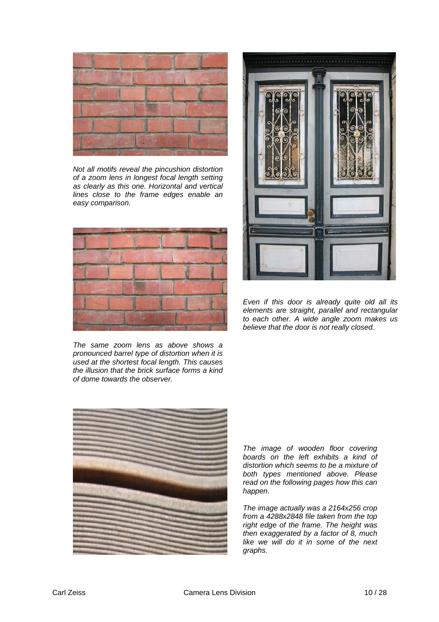

*Not all motifs reveal the pincushion distortion of a zoom lens in longest focal length setting as clearly as this one. Horizontal and vertical lines close to the frame edges enable an easy comparison.* 



*The same zoom lens as above shows a pronounced barrel type of distortion when it is used at the shortest focal length. This causes the illusion that the brick surface forms a kind of dome towards the observer.* 





*Even if this door is already quite old all its elements are straight, parallel and rectangular to each other. A wide angle zoom makes us believe that the door is not really closed.* 

*The image of wooden floor covering boards on the left exhibits a kind of distortion which seems to be a mixture of both types mentioned above. Please read on the following pages how this can happen.* 

*The image actually was a 2164x256 crop from a 4288x2848 file taken from the top right edge of the frame. The height was then exaggerated by a factor of 8, much like we will do it in some of the next graphs.*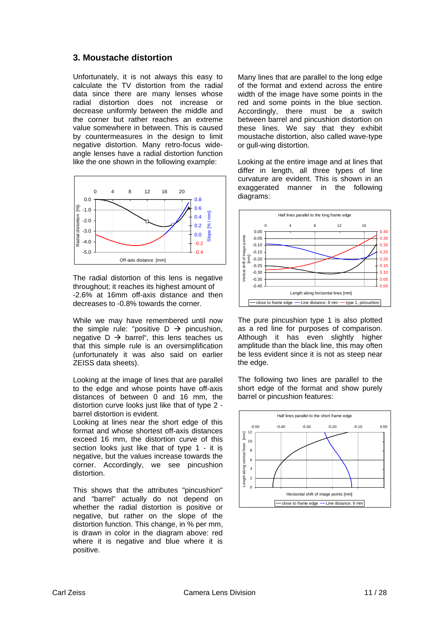#### **3. Moustache distortion**

Unfortunately, it is not always this easy to calculate the TV distortion from the radial data since there are many lenses whose radial distortion does not increase or decrease uniformly between the middle and the corner but rather reaches an extreme value somewhere in between. This is caused by countermeasures in the design to limit negative distortion. Many retro-focus wideangle lenses have a radial distortion function like the one shown in the following example:



The radial distortion of this lens is negative throughout; it reaches its highest amount of -2.6% at 16mm off-axis distance and then decreases to -0.8% towards the corner.

While we may have remembered until now the simple rule: "positive  $D \rightarrow$  pincushion, negative  $D \rightarrow$  barrel", this lens teaches us that this simple rule is an oversimplification (unfortunately it was also said on earlier ZEISS data sheets).

Looking at the image of lines that are parallel to the edge and whose points have off-axis distances of between 0 and 16 mm, the distortion curve looks just like that of type 2 barrel distortion is evident.

Looking at lines near the short edge of this format and whose shortest off-axis distances exceed 16 mm, the distortion curve of this section looks just like that of type 1 - it is negative, but the values increase towards the corner. Accordingly, we see pincushion distortion.

This shows that the attributes "pincushion" and "barrel" actually do not depend on whether the radial distortion is positive or negative, but rather on the slope of the distortion function. This change, in % per mm, is drawn in color in the diagram above: red where it is negative and blue where it is positive.

Many lines that are parallel to the long edge of the format and extend across the entire width of the image have some points in the red and some points in the blue section. Accordingly, there must be a switch between barrel and pincushion distortion on these lines. We say that they exhibit moustache distortion, also called wave-type or gull-wing distortion.

Looking at the entire image and at lines that differ in length, all three types of line curvature are evident. This is shown in an exaggerated manner in the following diagrams:



The pure pincushion type 1 is also plotted as a red line for purposes of comparison. Although it has even slightly higher amplitude than the black line, this may often be less evident since it is not as steep near the edge.

The following two lines are parallel to the short edge of the format and show purely barrel or pincushion features:

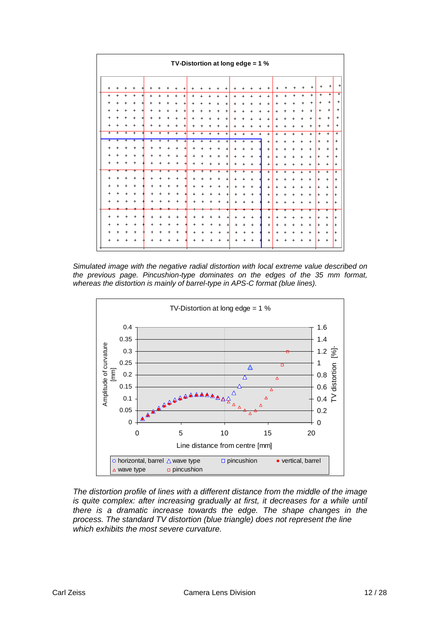

*Simulated image with the negative radial distortion with local extreme value described on the previous page. Pincushion-type dominates on the edges of the 35 mm format, whereas the distortion is mainly of barrel-type in APS-C format (blue lines).* 



*The distortion profile of lines with a different distance from the middle of the image is quite complex: after increasing gradually at first, it decreases for a while until there is a dramatic increase towards the edge. The shape changes in the process. The standard TV distortion (blue triangle) does not represent the line which exhibits the most severe curvature.*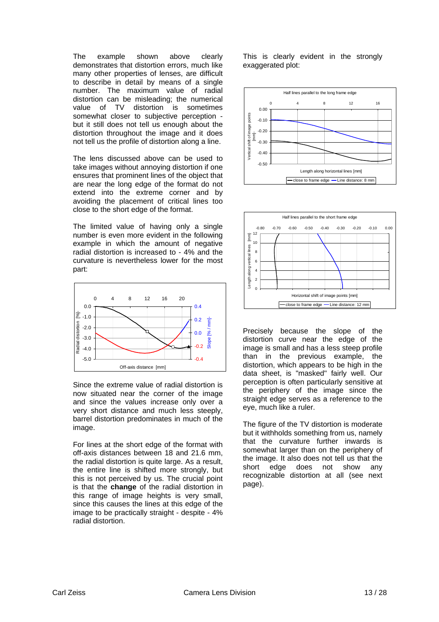The example shown above clearly demonstrates that distortion errors, much like many other properties of lenses, are difficult to describe in detail by means of a single number. The maximum value of radial distortion can be misleading; the numerical value of TV distortion is sometimes somewhat closer to subjective perception but it still does not tell us enough about the distortion throughout the image and it does not tell us the profile of distortion along a line.

The lens discussed above can be used to take images without annoying distortion if one ensures that prominent lines of the object that are near the long edge of the format do not extend into the extreme corner and by avoiding the placement of critical lines too close to the short edge of the format.

The limited value of having only a single number is even more evident in the following example in which the amount of negative radial distortion is increased to - 4% and the curvature is nevertheless lower for the most part:



Since the extreme value of radial distortion is now situated near the corner of the image and since the values increase only over a very short distance and much less steeply, barrel distortion predominates in much of the image.

For lines at the short edge of the format with off-axis distances between 18 and 21.6 mm, the radial distortion is quite large. As a result, the entire line is shifted more strongly, but this is not perceived by us. The crucial point is that the **change** of the radial distortion in this range of image heights is very small, since this causes the lines at this edge of the image to be practically straight - despite - 4% radial distortion.

This is clearly evident in the strongly exaggerated plot:





Precisely because the slope of the distortion curve near the edge of the image is small and has a less steep profile than in the previous example, the distortion, which appears to be high in the data sheet, is "masked" fairly well. Our perception is often particularly sensitive at the periphery of the image since the straight edge serves as a reference to the eye, much like a ruler.

The figure of the TV distortion is moderate but it withholds something from us, namely that the curvature further inwards is somewhat larger than on the periphery of the image. It also does not tell us that the short edge does not show any recognizable distortion at all (see next page).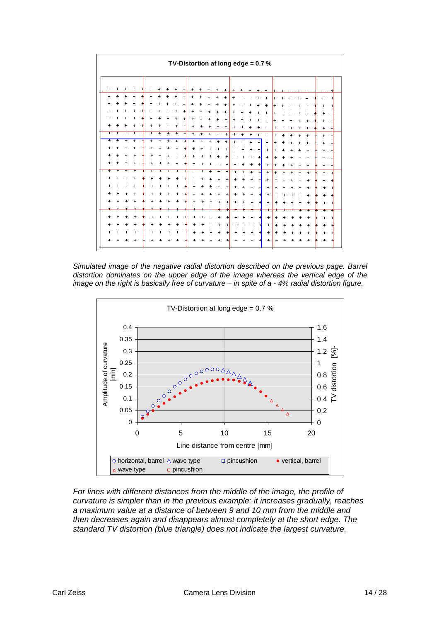

*Simulated image of the negative radial distortion described on the previous page. Barrel distortion dominates on the upper edge of the image whereas the vertical edge of the image on the right is basically free of curvature – in spite of a - 4% radial distortion figure.* 



*For lines with different distances from the middle of the image, the profile of curvature is simpler than in the previous example: it increases gradually, reaches a maximum value at a distance of between 9 and 10 mm from the middle and then decreases again and disappears almost completely at the short edge. The standard TV distortion (blue triangle) does not indicate the largest curvature.*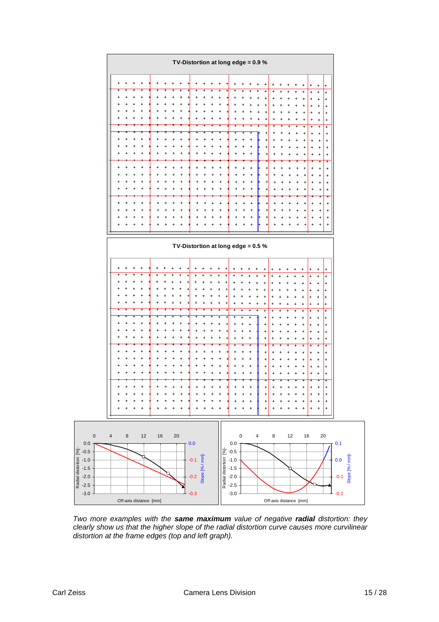

*Two more examples with the same maximum value of negative radial distortion: they clearly show us that the higher slope of the radial distortion curve causes more curvilinear distortion at the frame edges (top and left graph).*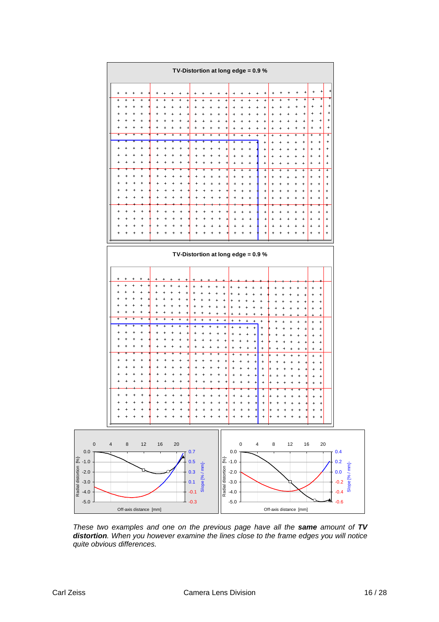

*These two examples and one on the previous page have all the same amount of TV distortion. When you however examine the lines close to the frame edges you will notice quite obvious differences.*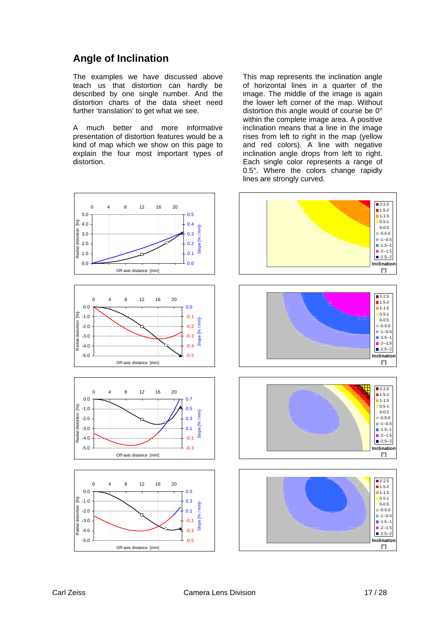# **Angle of Inclination**

The examples we have discussed above teach us that distortion can hardly be described by one single number. And the distortion charts of the data sheet need further 'translation' to get what we see.

A much better and more informative presentation of distortion features would be a kind of map which we show on this page to explain the four most important types of distortion.

This map represents the inclination angle of horizontal lines in a quarter of the image. The middle of the image is again the lower left corner of the map. Without distortion this angle would of course be 0° within the complete image area. A positive inclination means that a line in the image rises from left to right in the map (yellow and red colors). A line with negative inclination angle drops from left to right. Each single color represents a range of 0.5°. Where the colors change rapidly lines are strongly curved.

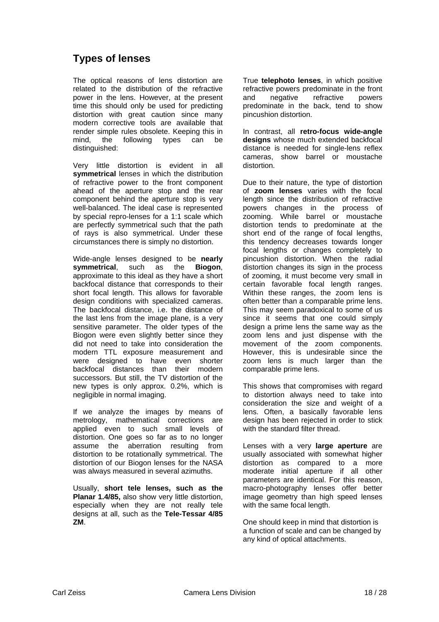# **Types of lenses**

The optical reasons of lens distortion are related to the distribution of the refractive power in the lens. However, at the present time this should only be used for predicting distortion with great caution since many modern corrective tools are available that render simple rules obsolete. Keeping this in mind, the following types can be distinguished:

Very little distortion is evident in all **symmetrical** lenses in which the distribution of refractive power to the front component ahead of the aperture stop and the rear component behind the aperture stop is very well-balanced. The ideal case is represented by special repro-lenses for a 1:1 scale which are perfectly symmetrical such that the path of rays is also symmetrical. Under these circumstances there is simply no distortion.

Wide-angle lenses designed to be **nearly symmetrical**, such as the **Biogon**, approximate to this ideal as they have a short backfocal distance that corresponds to their short focal length. This allows for favorable design conditions with specialized cameras. The backfocal distance, i.e. the distance of the last lens from the image plane, is a very sensitive parameter. The older types of the Biogon were even slightly better since they did not need to take into consideration the modern TTL exposure measurement and were designed to have even shorter backfocal distances than their modern successors. But still, the TV distortion of the new types is only approx. 0.2%, which is negligible in normal imaging.

If we analyze the images by means of metrology, mathematical corrections are applied even to such small levels of distortion. One goes so far as to no longer assume the aberration resulting from distortion to be rotationally symmetrical. The distortion of our Biogon lenses for the NASA was always measured in several azimuths.

Usually, **short tele lenses, such as the Planar 1.4/85,** also show very little distortion, especially when they are not really tele designs at all, such as the **Tele-Tessar 4/85 ZM**.

True **telephoto lenses**, in which positive refractive powers predominate in the front and negative refractive powers predominate in the back, tend to show pincushion distortion.

In contrast, all **retro-focus wide-angle designs** whose much extended backfocal distance is needed for single-lens reflex cameras, show barrel or moustache distortion.

Due to their nature, the type of distortion of **zoom lenses** varies with the focal length since the distribution of refractive powers changes in the process of zooming. While barrel or moustache distortion tends to predominate at the short end of the range of focal lengths, this tendency decreases towards longer focal lengths or changes completely to pincushion distortion. When the radial distortion changes its sign in the process of zooming, it must become very small in certain favorable focal length ranges. Within these ranges, the zoom lens is often better than a comparable prime lens. This may seem paradoxical to some of us since it seems that one could simply design a prime lens the same way as the zoom lens and just dispense with the movement of the zoom components. However, this is undesirable since the zoom lens is much larger than the comparable prime lens.

This shows that compromises with regard to distortion always need to take into consideration the size and weight of a lens. Often, a basically favorable lens design has been rejected in order to stick with the standard filter thread.

Lenses with a very **large aperture** are usually associated with somewhat higher distortion as compared to a more moderate initial aperture if all other parameters are identical. For this reason, macro-photography lenses offer better image geometry than high speed lenses with the same focal length.

One should keep in mind that distortion is a function of scale and can be changed by any kind of optical attachments.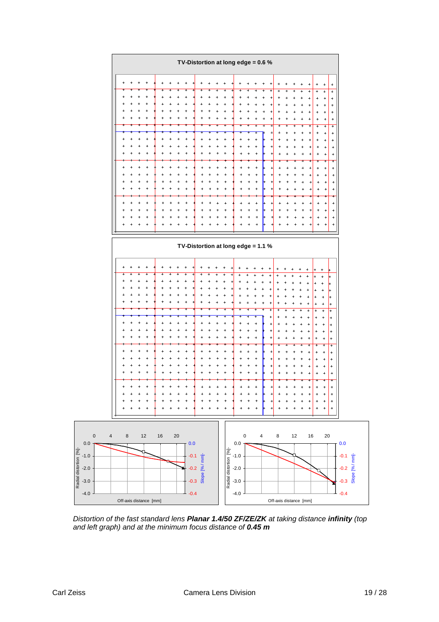

*Distortion of the fast standard lens Planar 1.4/50 ZF/ZE/ZK at taking distance infinity (top and left graph) and at the minimum focus distance of 0.45 m*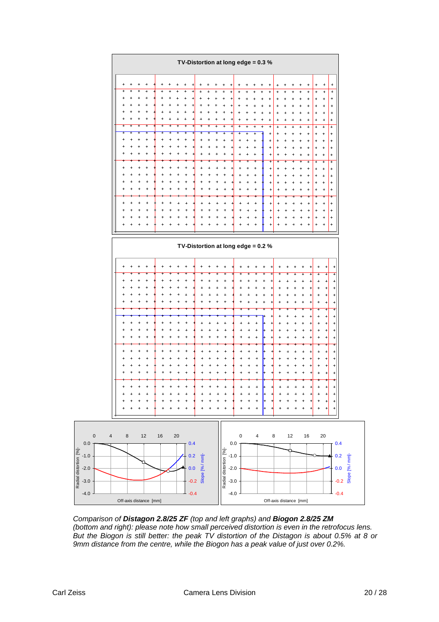

*Comparison of Distagon 2.8/25 ZF (top and left graphs) and Biogon 2.8/25 ZM (bottom and right): please note how small perceived distortion is even in the retrofocus lens. But the Biogon is still better: the peak TV distortion of the Distagon is about 0.5% at 8 or 9mm distance from the centre, while the Biogon has a peak value of just over 0.2%.*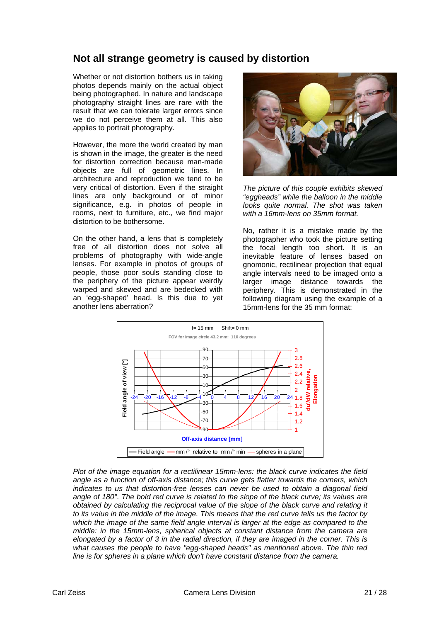## **Not all strange geometry is caused by distortion**

Whether or not distortion bothers us in taking photos depends mainly on the actual object being photographed. In nature and landscape photography straight lines are rare with the result that we can tolerate larger errors since we do not perceive them at all. This also applies to portrait photography.

However, the more the world created by man is shown in the image, the greater is the need for distortion correction because man-made objects are full of geometric lines. In architecture and reproduction we tend to be very critical of distortion. Even if the straight lines are only background or of minor significance, e.g. in photos of people in rooms, next to furniture, etc., we find major distortion to be bothersome.

On the other hand, a lens that is completely free of all distortion does not solve all problems of photography with wide-angle lenses. For example in photos of groups of people, those poor souls standing close to the periphery of the picture appear weirdly warped and skewed and are bedecked with an 'egg-shaped' head. Is this due to yet another lens aberration?



*The picture of this couple exhibits skewed "eggheads" while the balloon in the middle looks quite normal. The shot was taken with a 16mm-lens on 35mm format.* 

No, rather it is a mistake made by the photographer who took the picture setting the focal length too short. It is an inevitable feature of lenses based on gnomonic, rectilinear projection that equal angle intervals need to be imaged onto a larger image distance towards the periphery. This is demonstrated in the following diagram using the example of a 15mm-lens for the 35 mm format:



*Plot of the image equation for a rectilinear 15mm-lens: the black curve indicates the field angle as a function of off-axis distance; this curve gets flatter towards the corners, which indicates to us that distortion-free lenses can never be used to obtain a diagonal field angle of 180°. The bold red curve is related to the slope of the black curve; its values are obtained by calculating the reciprocal value of the slope of the black curve and relating it to its value in the middle of the image. This means that the red curve tells us the factor by which the image of the same field angle interval is larger at the edge as compared to the middle: in the 15mm-lens, spherical objects at constant distance from the camera are elongated by a factor of 3 in the radial direction, if they are imaged in the corner. This is what causes the people to have "egg-shaped heads" as mentioned above. The thin red line is for spheres in a plane which don't have constant distance from the camera.*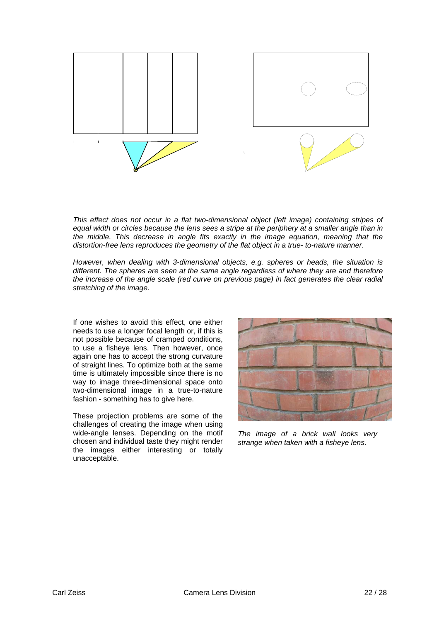

*This effect does not occur in a flat two-dimensional object (left image) containing stripes of equal width or circles because the lens sees a stripe at the periphery at a smaller angle than in the middle. This decrease in angle fits exactly in the image equation, meaning that the distortion-free lens reproduces the geometry of the flat object in a true- to-nature manner.* 

*However, when dealing with 3-dimensional objects, e.g. spheres or heads, the situation is different. The spheres are seen at the same angle regardless of where they are and therefore the increase of the angle scale (red curve on previous page) in fact generates the clear radial stretching of the image.* 

If one wishes to avoid this effect, one either needs to use a longer focal length or, if this is not possible because of cramped conditions, to use a fisheye lens. Then however, once again one has to accept the strong curvature of straight lines. To optimize both at the same time is ultimately impossible since there is no way to image three-dimensional space onto two-dimensional image in a true-to-nature fashion - something has to give here.

These projection problems are some of the challenges of creating the image when using wide-angle lenses. Depending on the motif chosen and individual taste they might render the images either interesting or totally unacceptable.



*The image of a brick wall looks very strange when taken with a fisheye lens.*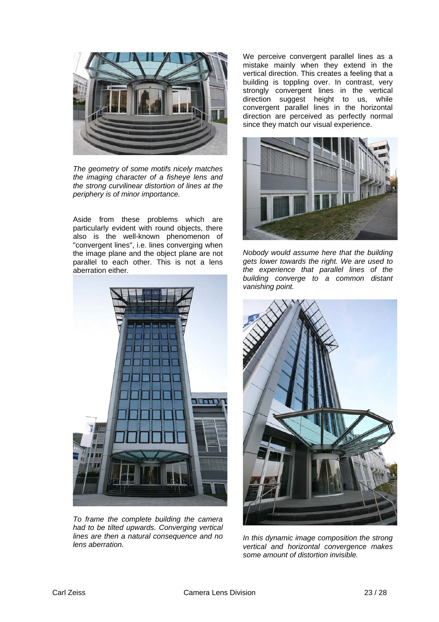

*The geometry of some motifs nicely matches the imaging character of a fisheye lens and the strong curvilinear distortion of lines at the periphery is of minor importance.* 

Aside from these problems which are particularly evident with round objects, there also is the well-known phenomenon of "convergent lines", i.e. lines converging when the image plane and the object plane are not parallel to each other. This is not a lens aberration either.



*To frame the complete building the camera had to be tilted upwards. Converging vertical lines are then a natural consequence and no lens aberration.* 

We perceive convergent parallel lines as a mistake mainly when they extend in the vertical direction. This creates a feeling that a building is toppling over. In contrast, very strongly convergent lines in the vertical direction suggest height to us, while convergent parallel lines in the horizontal direction are perceived as perfectly normal since they match our visual experience.



*Nobody would assume here that the building gets lower towards the right. We are used to the experience that parallel lines of the building converge to a common distant vanishing point.* 



*In this dynamic image composition the strong vertical and horizontal convergence makes some amount of distortion invisible.*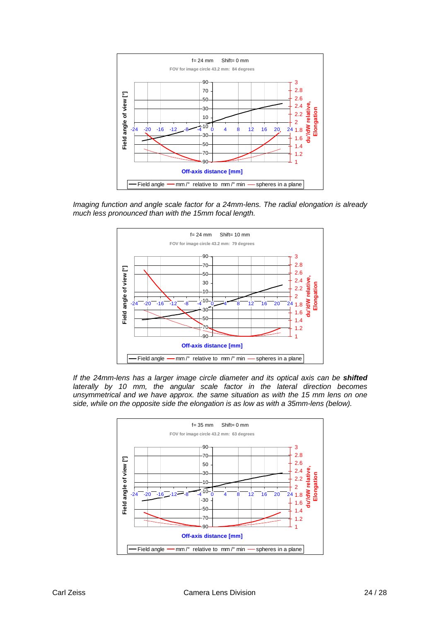

*Imaging function and angle scale factor for a 24mm-lens. The radial elongation is already much less pronounced than with the 15mm focal length.* 



*If the 24mm-lens has a larger image circle diameter and its optical axis can be shifted* laterally by 10 mm, the angular scale factor in the lateral direction becomes *unsymmetrical and we have approx. the same situation as with the 15 mm lens on one side, while on the opposite side the elongation is as low as with a 35mm-lens (below).* 

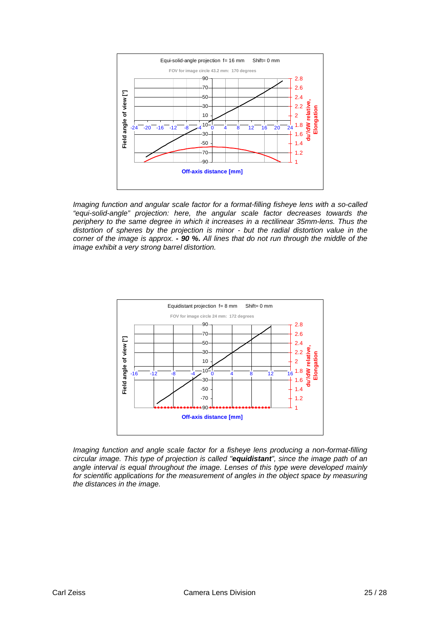

*Imaging function and angular scale factor for a format-filling fisheye lens with a so-called "equi-solid-angle" projection: here, the angular scale factor decreases towards the periphery to the same degree in which it increases in a rectilinear 35mm-lens. Thus the*  distortion of spheres by the projection is minor - but the radial distortion value in the *corner of the image is approx. - 90 %. All lines that do not run through the middle of the image exhibit a very strong barrel distortion.* 



*Imaging function and angle scale factor for a fisheye lens producing a non-format-filling circular image. This type of projection is called "equidistant", since the image path of an angle interval is equal throughout the image. Lenses of this type were developed mainly*  for scientific applications for the measurement of angles in the object space by measuring *the distances in the image.*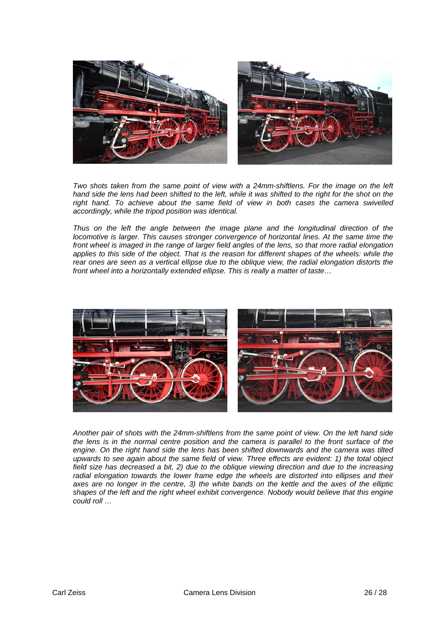

*Two shots taken from the same point of view with a 24mm-shiftlens. For the image on the left*  hand side the lens had been shifted to the left, while it was shifted to the right for the shot on the *right hand. To achieve about the same field of view in both cases the camera swivelled accordingly, while the tripod position was identical.* 

*Thus on the left the angle between the image plane and the longitudinal direction of the locomotive is larger. This causes stronger convergence of horizontal lines. At the same time the front wheel is imaged in the range of larger field angles of the lens, so that more radial elongation applies to this side of the object. That is the reason for different shapes of the wheels: while the rear ones are seen as a vertical ellipse due to the oblique view, the radial elongation distorts the front wheel into a horizontally extended ellipse. This is really a matter of taste…* 



*Another pair of shots with the 24mm-shiftlens from the same point of view. On the left hand side the lens is in the normal centre position and the camera is parallel to the front surface of the engine. On the right hand side the lens has been shifted downwards and the camera was tilted upwards to see again about the same field of view. Three effects are evident: 1) the total object field size has decreased a bit, 2) due to the oblique viewing direction and due to the increasing*  radial elongation towards the lower frame edge the wheels are distorted into ellipses and their *axes are no longer in the centre, 3) the white bands on the kettle and the axes of the elliptic shapes of the left and the right wheel exhibit convergence. Nobody would believe that this engine could roll …*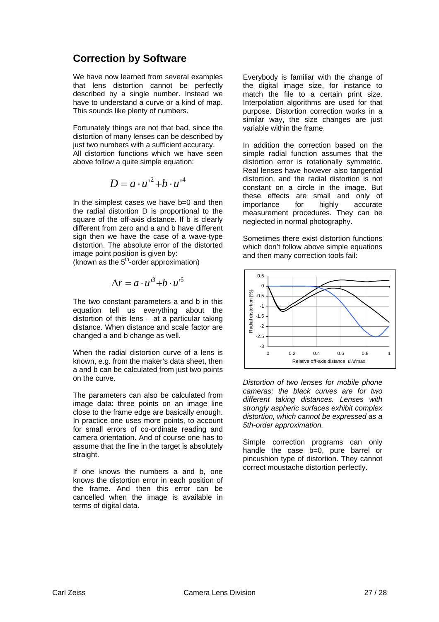## **Correction by Software**

We have now learned from several examples that lens distortion cannot be perfectly described by a single number. Instead we have to understand a curve or a kind of map. This sounds like plenty of numbers.

Fortunately things are not that bad, since the distortion of many lenses can be described by just two numbers with a sufficient accuracy. All distortion functions which we have seen above follow a quite simple equation:

$$
D = a \cdot u^2 + b \cdot u^4
$$

In the simplest cases we have b=0 and then the radial distortion D is proportional to the square of the off-axis distance. If b is clearly different from zero and a and b have different sign then we have the case of a wave-type distortion. The absolute error of the distorted image point position is given by:

(known as the  $5<sup>th</sup>$ -order approximation)

$$
\Delta r = a \cdot u'^3 + b \cdot u'^5
$$

The two constant parameters a and b in this equation tell us everything about the distortion of this lens – at a particular taking distance. When distance and scale factor are changed a and b change as well.

When the radial distortion curve of a lens is known, e.g. from the maker's data sheet, then a and b can be calculated from just two points on the curve.

The parameters can also be calculated from image data: three points on an image line close to the frame edge are basically enough. In practice one uses more points, to account for small errors of co-ordinate reading and camera orientation. And of course one has to assume that the line in the target is absolutely straight.

If one knows the numbers a and b, one knows the distortion error in each position of the frame. And then this error can be cancelled when the image is available in terms of digital data.

Everybody is familiar with the change of the digital image size, for instance to match the file to a certain print size. Interpolation algorithms are used for that purpose. Distortion correction works in a similar way, the size changes are just variable within the frame.

In addition the correction based on the simple radial function assumes that the distortion error is rotationally symmetric. Real lenses have however also tangential distortion, and the radial distortion is not constant on a circle in the image. But these effects are small and only of importance for highly accurate measurement procedures. They can be neglected in normal photography.

Sometimes there exist distortion functions which don't follow above simple equations and then many correction tools fail:



*Distortion of two lenses for mobile phone cameras; the black curves are for two different taking distances. Lenses with strongly aspheric surfaces exhibit complex distortion, which cannot be expressed as a 5th-order approximation.* 

Simple correction programs can only handle the case b=0, pure barrel or pincushion type of distortion. They cannot correct moustache distortion perfectly.